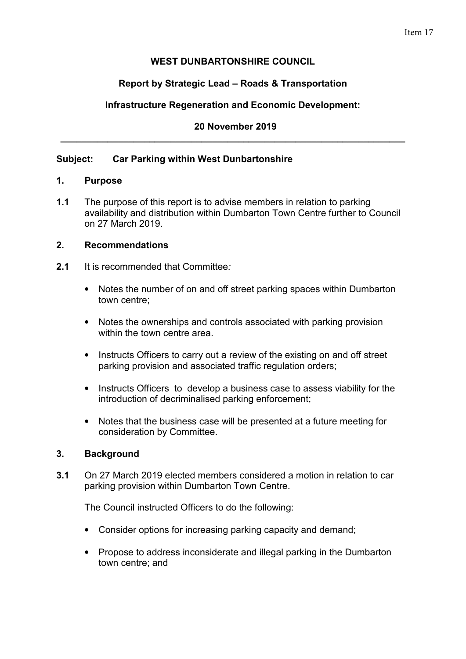## Item 17

## **WEST DUNBARTONSHIRE COUNCIL**

## **Report by Strategic Lead – Roads & Transportation**

## **Infrastructure Regeneration and Economic Development:**

### **20 November 2019 \_\_\_\_\_\_\_\_\_\_\_\_\_\_\_\_\_\_\_\_\_\_\_\_\_\_\_\_\_\_\_\_\_\_\_\_\_\_\_\_\_\_\_\_\_\_\_\_\_\_\_\_\_\_\_\_\_\_\_\_\_\_\_\_\_\_**

### **Subject: Car Parking within West Dunbartonshire**

#### **1. Purpose**

**1.1** The purpose of this report is to advise members in relation to parking availability and distribution within Dumbarton Town Centre further to Council on 27 March 2019.

#### **2. Recommendations**

- **2.1** It is recommended that Committee*:*
	- Notes the number of on and off street parking spaces within Dumbarton town centre;
	- Notes the ownerships and controls associated with parking provision within the town centre area.
	- Instructs Officers to carry out a review of the existing on and off street parking provision and associated traffic regulation orders;
	- Instructs Officers to develop a business case to assess viability for the introduction of decriminalised parking enforcement;
	- Notes that the business case will be presented at a future meeting for consideration by Committee.

### **3. Background**

**3.1** On 27 March 2019 elected members considered a motion in relation to car parking provision within Dumbarton Town Centre.

The Council instructed Officers to do the following:

- Consider options for increasing parking capacity and demand;
- Propose to address inconsiderate and illegal parking in the Dumbarton town centre; and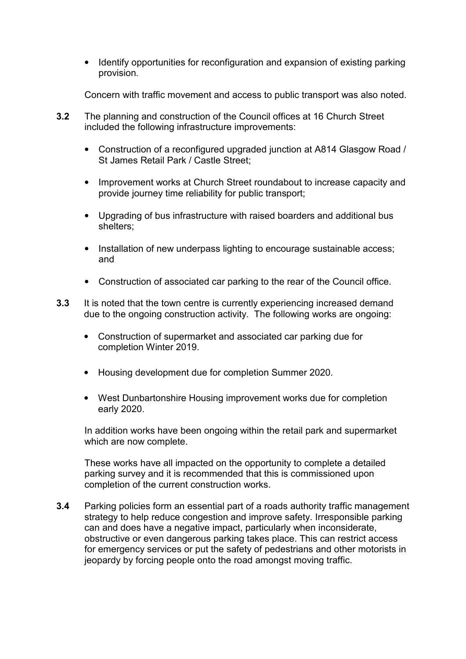• Identify opportunities for reconfiguration and expansion of existing parking provision.

Concern with traffic movement and access to public transport was also noted.

- **3.2** The planning and construction of the Council offices at 16 Church Street included the following infrastructure improvements:
	- Construction of a reconfigured upgraded junction at A814 Glasgow Road / St James Retail Park / Castle Street;
	- Improvement works at Church Street roundabout to increase capacity and provide journey time reliability for public transport;
	- Upgrading of bus infrastructure with raised boarders and additional bus shelters;
	- Installation of new underpass lighting to encourage sustainable access; and
	- Construction of associated car parking to the rear of the Council office.
- **3.3** It is noted that the town centre is currently experiencing increased demand due to the ongoing construction activity. The following works are ongoing:
	- Construction of supermarket and associated car parking due for completion Winter 2019.
	- Housing development due for completion Summer 2020.
	- West Dunbartonshire Housing improvement works due for completion early 2020.

In addition works have been ongoing within the retail park and supermarket which are now complete.

These works have all impacted on the opportunity to complete a detailed parking survey and it is recommended that this is commissioned upon completion of the current construction works.

**3.4** Parking policies form an essential part of a roads authority traffic management strategy to help reduce congestion and improve safety. Irresponsible parking can and does have a negative impact, particularly when inconsiderate, obstructive or even dangerous parking takes place. This can restrict access for emergency services or put the safety of pedestrians and other motorists in jeopardy by forcing people onto the road amongst moving traffic.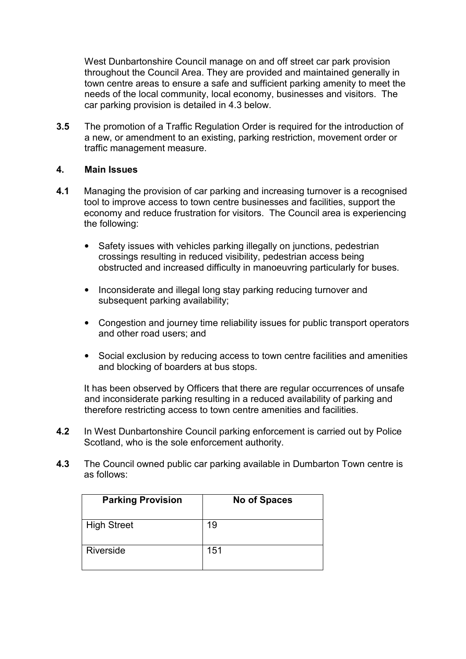West Dunbartonshire Council manage on and off street car park provision throughout the Council Area. They are provided and maintained generally in town centre areas to ensure a safe and sufficient parking amenity to meet the needs of the local community, local economy, businesses and visitors. The car parking provision is detailed in 4.3 below.

**3.5** The promotion of a Traffic Regulation Order is required for the introduction of a new, or amendment to an existing, parking restriction, movement order or traffic management measure.

### **4. Main Issues**

- **4.1** Managing the provision of car parking and increasing turnover is a recognised tool to improve access to town centre businesses and facilities, support the economy and reduce frustration for visitors. The Council area is experiencing the following:
	- Safety issues with vehicles parking illegally on junctions, pedestrian crossings resulting in reduced visibility, pedestrian access being obstructed and increased difficulty in manoeuvring particularly for buses.
	- Inconsiderate and illegal long stay parking reducing turnover and subsequent parking availability;
	- Congestion and journey time reliability issues for public transport operators and other road users; and
	- Social exclusion by reducing access to town centre facilities and amenities and blocking of boarders at bus stops.

It has been observed by Officers that there are regular occurrences of unsafe and inconsiderate parking resulting in a reduced availability of parking and therefore restricting access to town centre amenities and facilities.

- **4.2** In West Dunbartonshire Council parking enforcement is carried out by Police Scotland, who is the sole enforcement authority.
- **4.3** The Council owned public car parking available in Dumbarton Town centre is as follows:

| <b>Parking Provision</b> | <b>No of Spaces</b> |
|--------------------------|---------------------|
| <b>High Street</b>       | 19                  |
| <b>Riverside</b>         | 151                 |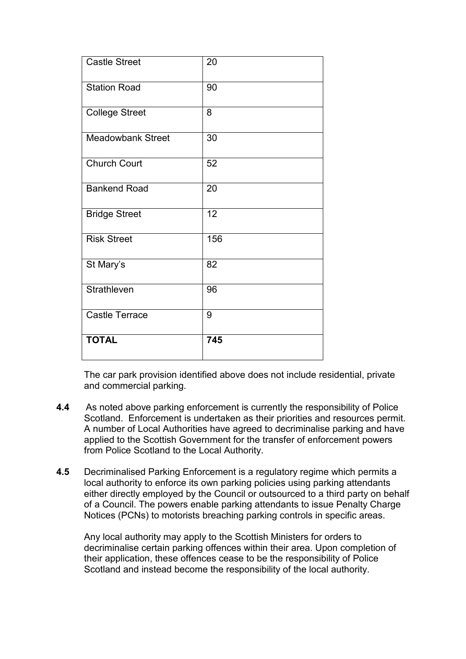| Castle Street            | 20  |
|--------------------------|-----|
| <b>Station Road</b>      | 90  |
| <b>College Street</b>    | 8   |
| <b>Meadowbank Street</b> | 30  |
| <b>Church Court</b>      | 52  |
| <b>Bankend Road</b>      | 20  |
| <b>Bridge Street</b>     | 12  |
| <b>Risk Street</b>       | 156 |
| St Mary's                | 82  |
| Strathleven              | 96  |
| <b>Castle Terrace</b>    | 9   |
| <b>TOTAL</b>             | 745 |

The car park provision identified above does not include residential, private and commercial parking.

- **4.4** As noted above parking enforcement is currently the responsibility of Police Scotland. Enforcement is undertaken as their priorities and resources permit. A number of Local Authorities have agreed to decriminalise parking and have applied to the Scottish Government for the transfer of enforcement powers from Police Scotland to the Local Authority.
- **4.5** Decriminalised Parking Enforcement is a regulatory regime which permits a local authority to enforce its own parking policies using parking attendants either directly employed by the Council or outsourced to a third party on behalf of a Council. The powers enable parking attendants to issue Penalty Charge Notices (PCNs) to motorists breaching parking controls in specific areas.

Any local authority may apply to the Scottish Ministers for orders to decriminalise certain parking offences within their area. Upon completion of their application, these offences cease to be the responsibility of Police Scotland and instead become the responsibility of the local authority.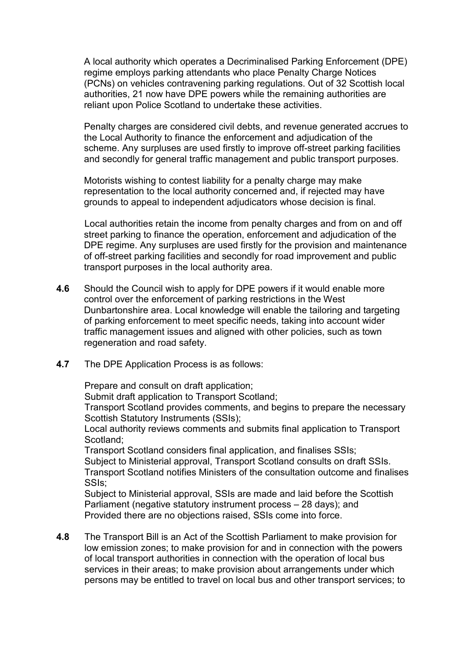A local authority which operates a Decriminalised Parking Enforcement (DPE) regime employs parking attendants who place Penalty Charge Notices (PCNs) on vehicles contravening parking regulations. Out of 32 Scottish local authorities, 21 now have DPE powers while the remaining authorities are reliant upon Police Scotland to undertake these activities.

Penalty charges are considered civil debts, and revenue generated accrues to the Local Authority to finance the enforcement and adjudication of the scheme. Any surpluses are used firstly to improve off-street parking facilities and secondly for general traffic management and public transport purposes.

Motorists wishing to contest liability for a penalty charge may make representation to the local authority concerned and, if rejected may have grounds to appeal to independent adjudicators whose decision is final.

Local authorities retain the income from penalty charges and from on and off street parking to finance the operation, enforcement and adjudication of the DPE regime. Any surpluses are used firstly for the provision and maintenance of off-street parking facilities and secondly for road improvement and public transport purposes in the local authority area.

- **4.6** Should the Council wish to apply for DPE powers if it would enable more control over the enforcement of parking restrictions in the West Dunbartonshire area. Local knowledge will enable the tailoring and targeting of parking enforcement to meet specific needs, taking into account wider traffic management issues and aligned with other policies, such as town regeneration and road safety.
- **4.7** The DPE Application Process is as follows:

Prepare and consult on draft application;

Submit draft application to Transport Scotland;

Transport Scotland provides comments, and begins to prepare the necessary Scottish Statutory Instruments (SSIs);

Local authority reviews comments and submits final application to Transport Scotland;

Transport Scotland considers final application, and finalises SSIs; Subject to Ministerial approval, Transport Scotland consults on draft SSIs. Transport Scotland notifies Ministers of the consultation outcome and finalises

SSIs;

Subject to Ministerial approval, SSIs are made and laid before the Scottish Parliament (negative statutory instrument process – 28 days); and Provided there are no objections raised, SSIs come into force.

**4.8** The Transport Bill is an Act of the Scottish Parliament to make provision for low emission zones; to make provision for and in connection with the powers of local transport authorities in connection with the operation of local bus services in their areas; to make provision about arrangements under which persons may be entitled to travel on local bus and other transport services; to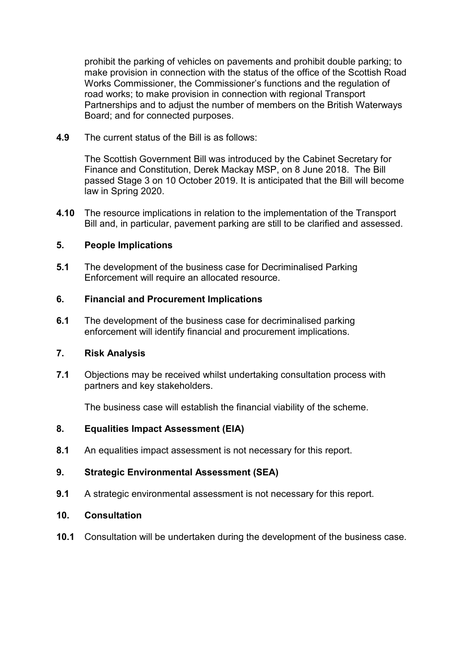prohibit the parking of vehicles on pavements and prohibit double parking; to make provision in connection with the status of the office of the Scottish Road Works Commissioner, the Commissioner's functions and the regulation of road works; to make provision in connection with regional Transport Partnerships and to adjust the number of members on the British Waterways Board; and for connected purposes.

**4.9** The current status of the Bill is as follows:

The Scottish Government Bill was introduced by the Cabinet Secretary for Finance and Constitution, Derek Mackay MSP, on 8 June 2018. The Bill passed Stage 3 on 10 October 2019. It is anticipated that the Bill will become law in Spring 2020.

**4.10** The resource implications in relation to the implementation of the Transport Bill and, in particular, pavement parking are still to be clarified and assessed.

## **5. People Implications**

**5.1** The development of the business case for Decriminalised Parking Enforcement will require an allocated resource.

## **6. Financial and Procurement Implications**

**6.1** The development of the business case for decriminalised parking enforcement will identify financial and procurement implications.

### **7. Risk Analysis**

**7.1** Objections may be received whilst undertaking consultation process with partners and key stakeholders.

The business case will establish the financial viability of the scheme.

# **8. Equalities Impact Assessment (EIA)**

**8.1** An equalities impact assessment is not necessary for this report.

# **9. Strategic Environmental Assessment (SEA)**

**9.1** A strategic environmental assessment is not necessary for this report.

### **10. Consultation**

**10.1** Consultation will be undertaken during the development of the business case.